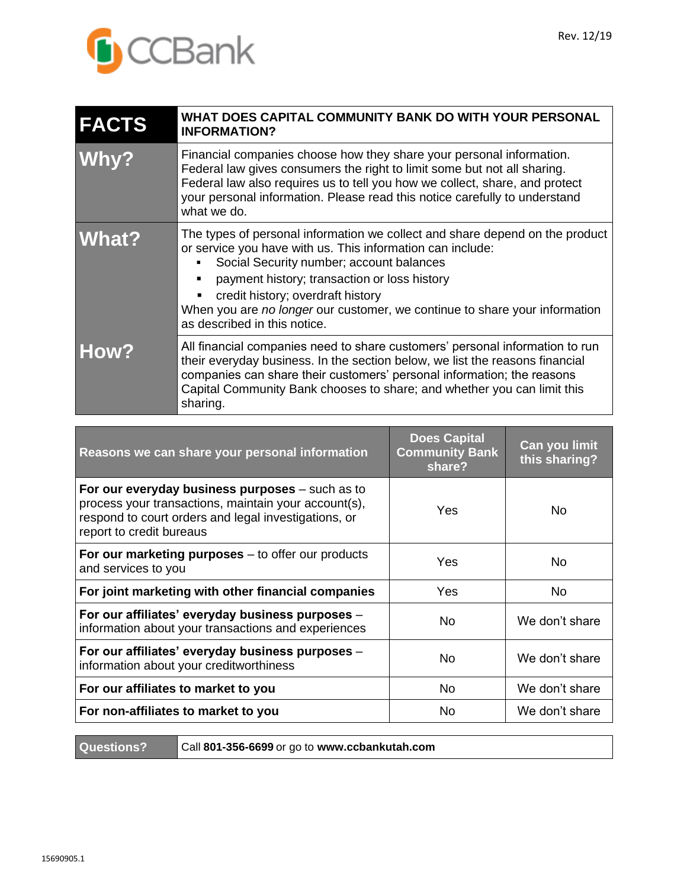

| <b>FACTS</b> | WHAT DOES CAPITAL COMMUNITY BANK DO WITH YOUR PERSONAL<br><b>INFORMATION?</b>                                                                                                                                                                                                                                                                                                             |
|--------------|-------------------------------------------------------------------------------------------------------------------------------------------------------------------------------------------------------------------------------------------------------------------------------------------------------------------------------------------------------------------------------------------|
| <b>Why?</b>  | Financial companies choose how they share your personal information.<br>Federal law gives consumers the right to limit some but not all sharing.<br>Federal law also requires us to tell you how we collect, share, and protect<br>your personal information. Please read this notice carefully to understand<br>what we do.                                                              |
| <b>What?</b> | The types of personal information we collect and share depend on the product<br>or service you have with us. This information can include:<br>Social Security number; account balances<br>payment history; transaction or loss history<br>credit history; overdraft history<br>When you are no longer our customer, we continue to share your information<br>as described in this notice. |
| <b>How?</b>  | All financial companies need to share customers' personal information to run<br>their everyday business. In the section below, we list the reasons financial<br>companies can share their customers' personal information; the reasons<br>Capital Community Bank chooses to share; and whether you can limit this<br>sharing.                                                             |

| Reasons we can share your personal information                                                                                                                                                | <b>Does Capital</b><br><b>Community Bank</b><br>share? | Can you limit<br>this sharing? |
|-----------------------------------------------------------------------------------------------------------------------------------------------------------------------------------------------|--------------------------------------------------------|--------------------------------|
| For our everyday business purposes $-$ such as to<br>process your transactions, maintain your account(s),<br>respond to court orders and legal investigations, or<br>report to credit bureaus | Yes                                                    | No.                            |
| For our marketing purposes $-$ to offer our products<br>and services to you                                                                                                                   | Yes                                                    | No.                            |
| For joint marketing with other financial companies                                                                                                                                            | Yes                                                    | No.                            |
| For our affiliates' everyday business purposes -<br>information about your transactions and experiences                                                                                       | No.                                                    | We don't share                 |
| For our affiliates' everyday business purposes -<br>information about your creditworthiness                                                                                                   | No.                                                    | We don't share                 |
| For our affiliates to market to you                                                                                                                                                           | No.                                                    | We don't share                 |
| For non-affiliates to market to you                                                                                                                                                           | No                                                     | We don't share                 |

**Questions?** Call **801-356-6699** or go to **www.ccbankutah.com**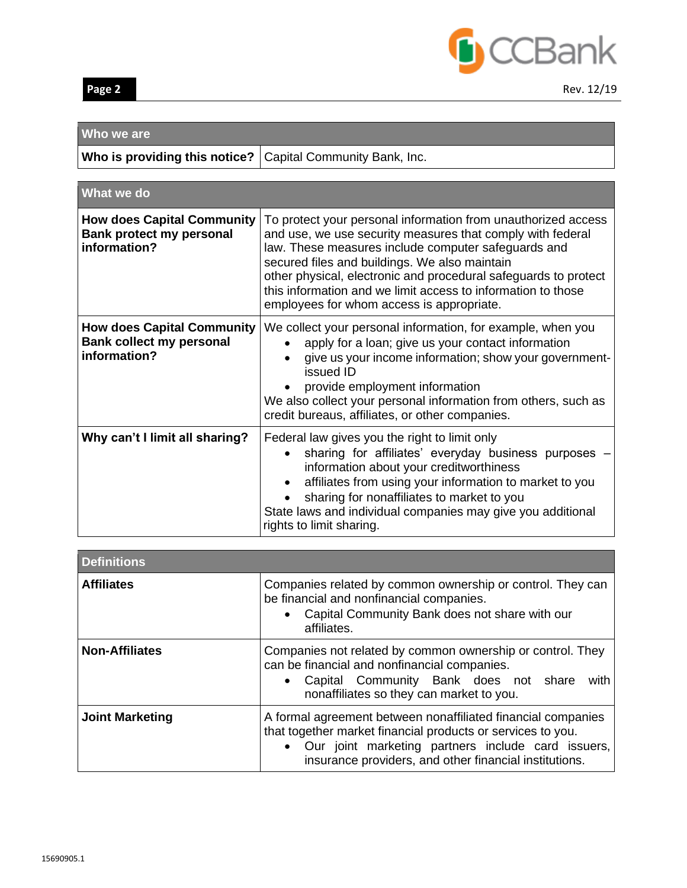

# **Who we are**

|  |  |  | Who is providing this notice?   Capital Community Bank, Inc. |  |
|--|--|--|--------------------------------------------------------------|--|
|--|--|--|--------------------------------------------------------------|--|

| <b>What we do</b>                                                                    |                                                                                                                                                                                                                                                                                                                                                                                                                     |
|--------------------------------------------------------------------------------------|---------------------------------------------------------------------------------------------------------------------------------------------------------------------------------------------------------------------------------------------------------------------------------------------------------------------------------------------------------------------------------------------------------------------|
| <b>How does Capital Community</b><br><b>Bank protect my personal</b><br>information? | To protect your personal information from unauthorized access<br>and use, we use security measures that comply with federal<br>law. These measures include computer safeguards and<br>secured files and buildings. We also maintain<br>other physical, electronic and procedural safeguards to protect<br>this information and we limit access to information to those<br>employees for whom access is appropriate. |
| <b>How does Capital Community</b><br><b>Bank collect my personal</b><br>information? | We collect your personal information, for example, when you<br>apply for a loan; give us your contact information<br>give us your income information; show your government-<br>issued ID<br>provide employment information<br>We also collect your personal information from others, such as<br>credit bureaus, affiliates, or other companies.                                                                     |
| Why can't I limit all sharing?                                                       | Federal law gives you the right to limit only<br>sharing for affiliates' everyday business purposes<br>information about your creditworthiness<br>affiliates from using your information to market to you<br>sharing for nonaffiliates to market to you<br>State laws and individual companies may give you additional<br>rights to limit sharing.                                                                  |

| <b>Definitions</b>     |                                                                                                                                                                                                                                               |  |
|------------------------|-----------------------------------------------------------------------------------------------------------------------------------------------------------------------------------------------------------------------------------------------|--|
| <b>Affiliates</b>      | Companies related by common ownership or control. They can<br>be financial and nonfinancial companies.<br>Capital Community Bank does not share with our<br>$\bullet$<br>affiliates.                                                          |  |
| <b>Non-Affiliates</b>  | Companies not related by common ownership or control. They<br>can be financial and nonfinancial companies.<br>• Capital Community Bank does not share<br>with<br>nonaffiliates so they can market to you.                                     |  |
| <b>Joint Marketing</b> | A formal agreement between nonaffiliated financial companies<br>that together market financial products or services to you.<br>• Our joint marketing partners include card issuers,<br>insurance providers, and other financial institutions. |  |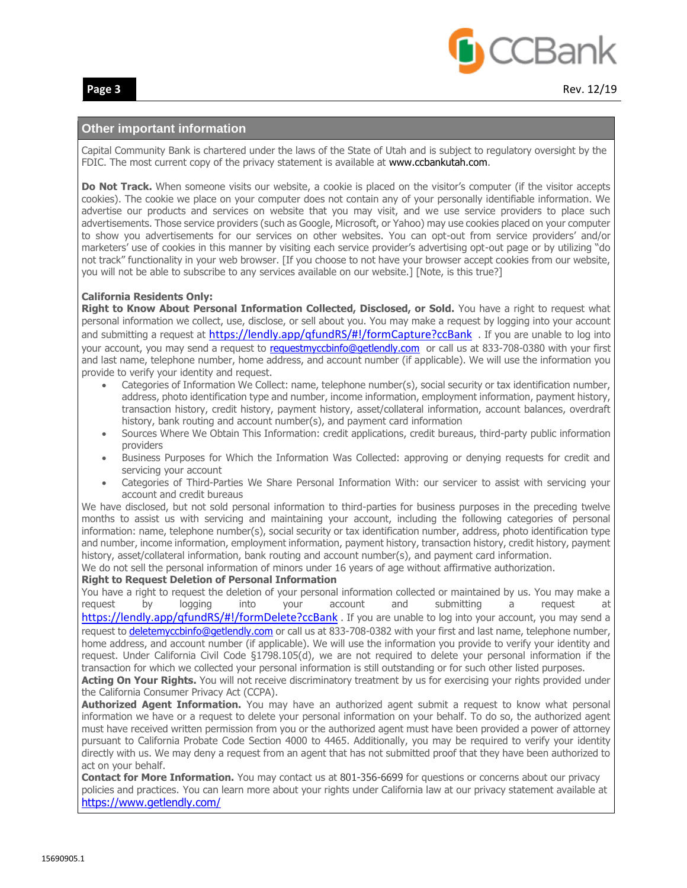

## **Other important information**

Capital Community Bank is chartered under the laws of the State of Utah and is subject to regulatory oversight by the FDIC. The most current copy of the privacy statement is available at www.ccbankutah.com.

**Do Not Track.** When someone visits our website, a cookie is placed on the visitor's computer (if the visitor accepts cookies). The cookie we place on your computer does not contain any of your personally identifiable information. We advertise our products and services on website that you may visit, and we use service providers to place such advertisements. Those service providers (such as Google, Microsoft, or Yahoo) may use cookies placed on your computer to show you advertisements for our services on other websites. You can opt-out from service providers' and/or marketers' use of cookies in this manner by visiting each service provider's advertising opt-out page or by utilizing "do not track" functionality in your web browser. [If you choose to not have your browser accept cookies from our website, you will not be able to subscribe to any services available on our website.] [Note, is this true?]

### **California Residents Only:**

**Right to Know About Personal Information Collected, Disclosed, or Sold.** You have a right to request what personal information we collect, use, disclose, or sell about you. You may make a request by logging into your account and submitting a request at https://lendly.app/gfundRS/#!/formCapture?ccBank . If you are unable to log into your account, you may send a request to [requestmyccbinfo@getlendly.com](mailto:requestmyccbinfo@getlendly.com) or call us at 833-708-0380 with your first and last name, telephone number, home address, and account number (if applicable). We will use the information you provide to verify your identity and request.

- Categories of Information We Collect: name, telephone number(s), social security or tax identification number, address, photo identification type and number, income information, employment information, payment history, transaction history, credit history, payment history, asset/collateral information, account balances, overdraft history, bank routing and account number(s), and payment card information
- Sources Where We Obtain This Information: credit applications, credit bureaus, third-party public information providers
- Business Purposes for Which the Information Was Collected: approving or denying requests for credit and servicing your account
- Categories of Third-Parties We Share Personal Information With: our servicer to assist with servicing your account and credit bureaus

We have disclosed, but not sold personal information to third-parties for business purposes in the preceding twelve months to assist us with servicing and maintaining your account, including the following categories of personal information: name, telephone number(s), social security or tax identification number, address, photo identification type and number, income information, employment information, payment history, transaction history, credit history, payment history, asset/collateral information, bank routing and account number(s), and payment card information.

We do not sell the personal information of minors under 16 years of age without affirmative authorization.

#### **Right to Request Deletion of Personal Information**

You have a right to request the deletion of your personal information collected or maintained by us. You may make a request by logging into your account and submitting a request at <https://lendly.app/qfundRS/#!/formDelete?ccBank> . If you are unable to log into your account, you may send a request to [deletemyccbinfo@getlendly.com](mailto:deletemyccbinfo@getlendly.com) or call us at 833-708-0382 with your first and last name, telephone number, home address, and account number (if applicable). We will use the information you provide to verify your identity and request. Under California Civil Code §1798.105(d), we are not required to delete your personal information if the transaction for which we collected your personal information is still outstanding or for such other listed purposes.

Acting On Your Rights. You will not receive discriminatory treatment by us for exercising your rights provided under the California Consumer Privacy Act (CCPA).

**Authorized Agent Information.** You may have an authorized agent submit a request to know what personal information we have or a request to delete your personal information on your behalf. To do so, the authorized agent must have received written permission from you or the authorized agent must have been provided a power of attorney pursuant to California Probate Code Section 4000 to 4465. Additionally, you may be required to verify your identity directly with us. We may deny a request from an agent that has not submitted proof that they have been authorized to act on your behalf.

**Contact for More Information.** You may contact us at 801-356-6699 for questions or concerns about our privacy policies and practices. You can learn more about your rights under California law at our privacy statement available at <https://www.getlendly.com/>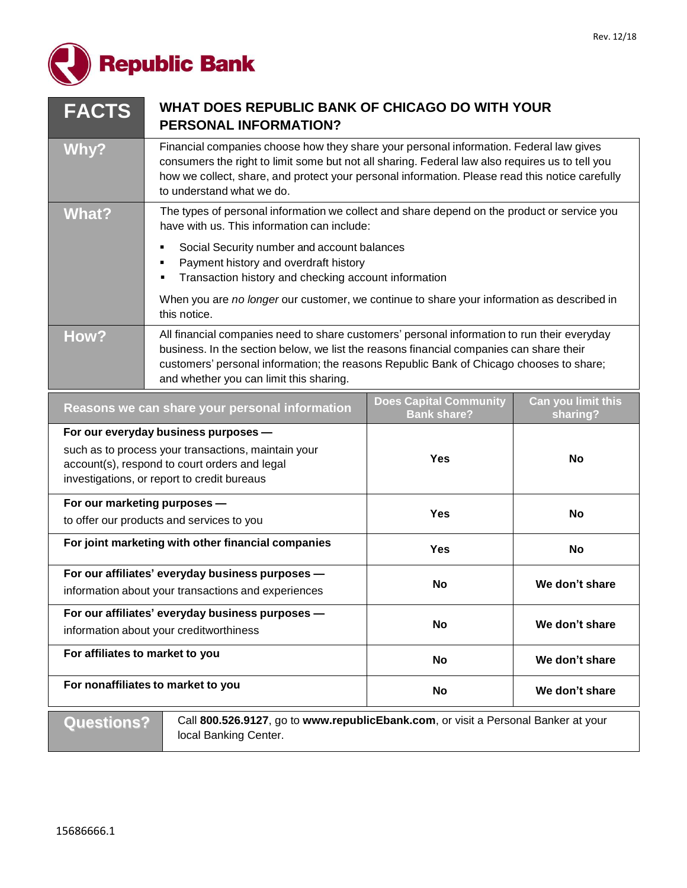

| <b>FACTS</b>                                                                                                                                                                                | WHAT DOES REPUBLIC BANK OF CHICAGO DO WITH YOUR<br><b>PERSONAL INFORMATION?</b>                                                                                                                                                                                                                                              |                                                                                                                                            |                |  |
|---------------------------------------------------------------------------------------------------------------------------------------------------------------------------------------------|------------------------------------------------------------------------------------------------------------------------------------------------------------------------------------------------------------------------------------------------------------------------------------------------------------------------------|--------------------------------------------------------------------------------------------------------------------------------------------|----------------|--|
| Why?                                                                                                                                                                                        | Financial companies choose how they share your personal information. Federal law gives<br>consumers the right to limit some but not all sharing. Federal law also requires us to tell you<br>how we collect, share, and protect your personal information. Please read this notice carefully<br>to understand what we do.    |                                                                                                                                            |                |  |
| <b>What?</b>                                                                                                                                                                                |                                                                                                                                                                                                                                                                                                                              | The types of personal information we collect and share depend on the product or service you<br>have with us. This information can include: |                |  |
|                                                                                                                                                                                             | Social Security number and account balances<br>٠<br>Payment history and overdraft history<br>٠<br>Transaction history and checking account information                                                                                                                                                                       |                                                                                                                                            |                |  |
|                                                                                                                                                                                             | When you are no longer our customer, we continue to share your information as described in<br>this notice.                                                                                                                                                                                                                   |                                                                                                                                            |                |  |
| How?                                                                                                                                                                                        | All financial companies need to share customers' personal information to run their everyday<br>business. In the section below, we list the reasons financial companies can share their<br>customers' personal information; the reasons Republic Bank of Chicago chooses to share;<br>and whether you can limit this sharing. |                                                                                                                                            |                |  |
| <b>Does Capital Community</b><br>Can you limit this<br>Reasons we can share your personal information<br><b>Bank share?</b><br>sharing?                                                     |                                                                                                                                                                                                                                                                                                                              |                                                                                                                                            |                |  |
| For our everyday business purposes -<br>such as to process your transactions, maintain your<br>account(s), respond to court orders and legal<br>investigations, or report to credit bureaus |                                                                                                                                                                                                                                                                                                                              | <b>Yes</b>                                                                                                                                 | <b>No</b>      |  |
| For our marketing purposes -<br>to offer our products and services to you                                                                                                                   |                                                                                                                                                                                                                                                                                                                              | <b>Yes</b>                                                                                                                                 | No             |  |
| For joint marketing with other financial companies                                                                                                                                          |                                                                                                                                                                                                                                                                                                                              | <b>Yes</b>                                                                                                                                 | No             |  |
| For our affiliates' everyday business purposes -<br>information about your transactions and experiences                                                                                     |                                                                                                                                                                                                                                                                                                                              | No                                                                                                                                         | We don't share |  |
| For our affiliates' everyday business purposes -<br>information about your creditworthiness                                                                                                 |                                                                                                                                                                                                                                                                                                                              | <b>No</b>                                                                                                                                  | We don't share |  |
| For affiliates to market to you                                                                                                                                                             |                                                                                                                                                                                                                                                                                                                              | <b>No</b>                                                                                                                                  | We don't share |  |
| For nonaffiliates to market to you<br><b>No</b><br>We don't share                                                                                                                           |                                                                                                                                                                                                                                                                                                                              |                                                                                                                                            |                |  |

**Questions?** Call 800.526.9127, go to www.republicEbank.com, or visit a Personal Banker at your local Banking Center.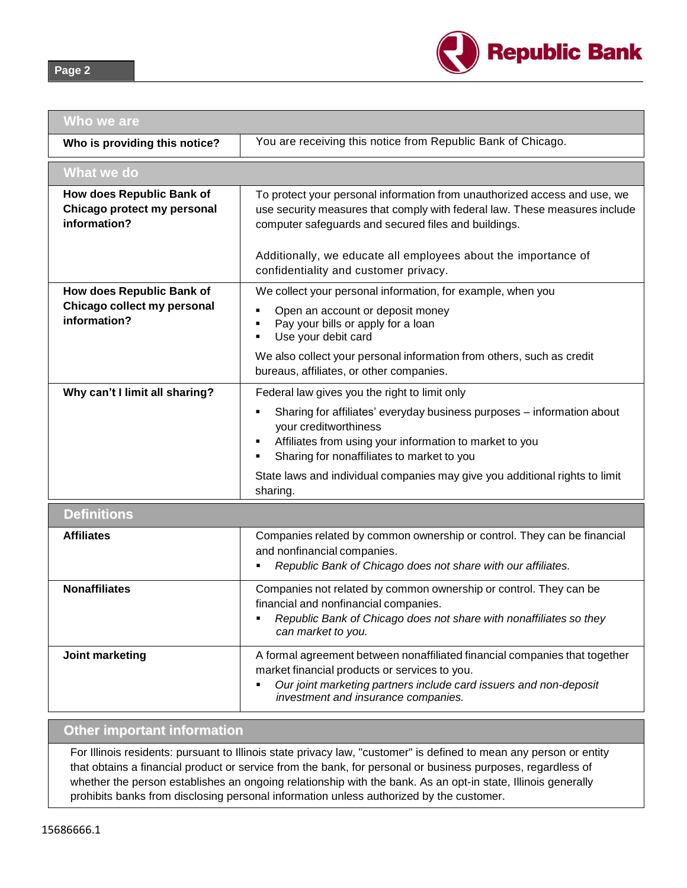

| Who we are                                                               |                                                                                                                                                                                                                                                                                                                                                      |
|--------------------------------------------------------------------------|------------------------------------------------------------------------------------------------------------------------------------------------------------------------------------------------------------------------------------------------------------------------------------------------------------------------------------------------------|
| Who is providing this notice?                                            | You are receiving this notice from Republic Bank of Chicago.                                                                                                                                                                                                                                                                                         |
| What we do                                                               |                                                                                                                                                                                                                                                                                                                                                      |
| How does Republic Bank of<br>Chicago protect my personal<br>information? | To protect your personal information from unauthorized access and use, we<br>use security measures that comply with federal law. These measures include<br>computer safeguards and secured files and buildings.                                                                                                                                      |
|                                                                          | Additionally, we educate all employees about the importance of<br>confidentiality and customer privacy.                                                                                                                                                                                                                                              |
| How does Republic Bank of<br>Chicago collect my personal<br>information? | We collect your personal information, for example, when you<br>Open an account or deposit money<br>Pay your bills or apply for a loan<br>Use your debit card<br>We also collect your personal information from others, such as credit<br>bureaus, affiliates, or other companies.                                                                    |
| Why can't I limit all sharing?                                           | Federal law gives you the right to limit only<br>Sharing for affiliates' everyday business purposes - information about<br>your creditworthiness<br>Affiliates from using your information to market to you<br>Sharing for nonaffiliates to market to you<br>State laws and individual companies may give you additional rights to limit<br>sharing. |
| <b>Definitions</b>                                                       |                                                                                                                                                                                                                                                                                                                                                      |
| <b>Affiliates</b>                                                        | Companies related by common ownership or control. They can be financial<br>and nonfinancial companies.<br>Republic Bank of Chicago does not share with our affiliates.                                                                                                                                                                               |
| <b>Nonaffiliates</b>                                                     | Companies not related by common ownership or control. They can be<br>financial and nonfinancial companies.<br>Republic Bank of Chicago does not share with nonaffiliates so they<br>can market to you.                                                                                                                                               |
| Joint marketing                                                          | A formal agreement between nonaffiliated financial companies that together<br>market financial products or services to you.<br>Our joint marketing partners include card issuers and non-deposit<br>٠<br>investment and insurance companies.                                                                                                         |

# **Other important information**

For Illinois residents: pursuant to Illinois state privacy law, "customer" is defined to mean any person or entity that obtains a financial product or service from the bank, for personal or business purposes, regardless of whether the person establishes an ongoing relationship with the bank. As an opt-in state, Illinois generally prohibits banks from disclosing personal information unless authorized by the customer.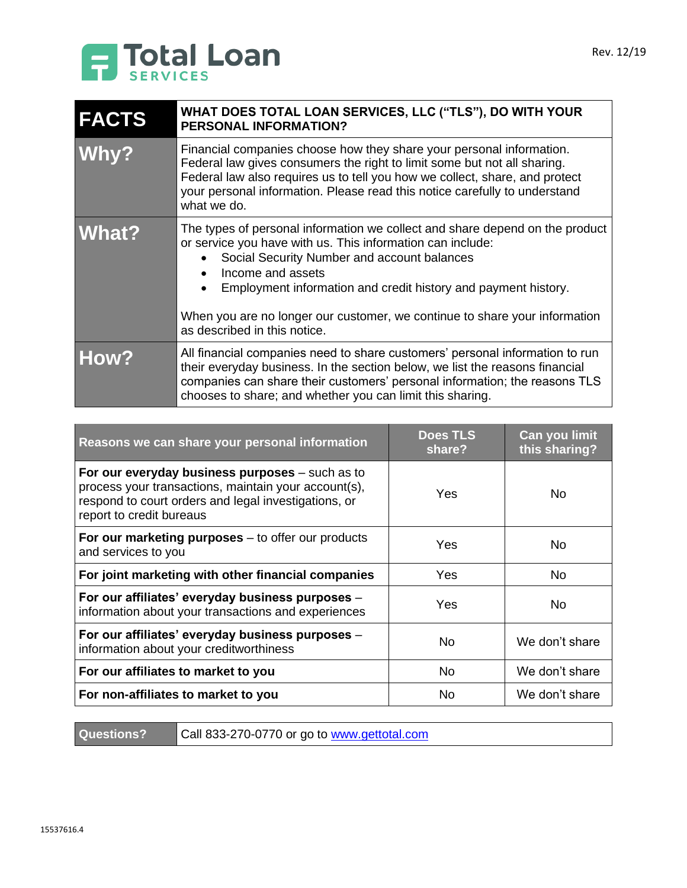

| <b>FACTS</b> | WHAT DOES TOTAL LOAN SERVICES, LLC ("TLS"), DO WITH YOUR<br><b>PERSONAL INFORMATION?</b>                                                                                                                                                                                                                                                                                                                                 |  |
|--------------|--------------------------------------------------------------------------------------------------------------------------------------------------------------------------------------------------------------------------------------------------------------------------------------------------------------------------------------------------------------------------------------------------------------------------|--|
| Why?         | Financial companies choose how they share your personal information.<br>Federal law gives consumers the right to limit some but not all sharing.<br>Federal law also requires us to tell you how we collect, share, and protect<br>your personal information. Please read this notice carefully to understand<br>what we do.                                                                                             |  |
| <b>What?</b> | The types of personal information we collect and share depend on the product<br>or service you have with us. This information can include:<br>Social Security Number and account balances<br>Income and assets<br>$\bullet$<br>Employment information and credit history and payment history.<br>$\bullet$<br>When you are no longer our customer, we continue to share your information<br>as described in this notice. |  |
| How?         | All financial companies need to share customers' personal information to run<br>their everyday business. In the section below, we list the reasons financial<br>companies can share their customers' personal information; the reasons TLS<br>chooses to share; and whether you can limit this sharing.                                                                                                                  |  |

| Reasons we can share your personal information                                                                                                                                                | <b>Does TLS</b><br>share? | Can you limit<br>this sharing? |
|-----------------------------------------------------------------------------------------------------------------------------------------------------------------------------------------------|---------------------------|--------------------------------|
| For our everyday business purposes $-$ such as to<br>process your transactions, maintain your account(s),<br>respond to court orders and legal investigations, or<br>report to credit bureaus | Yes                       | No.                            |
| For our marketing purposes $-$ to offer our products<br>and services to you                                                                                                                   | Yes                       | No.                            |
| For joint marketing with other financial companies                                                                                                                                            | Yes                       | No.                            |
| For our affiliates' everyday business purposes -<br>information about your transactions and experiences                                                                                       | Yes                       | N <sub>0</sub>                 |
| For our affiliates' everyday business purposes -<br>information about your creditworthiness                                                                                                   | <b>No</b>                 | We don't share                 |
| For our affiliates to market to you                                                                                                                                                           | No                        | We don't share                 |
| For non-affiliates to market to you                                                                                                                                                           | Nο                        | We don't share                 |

**Questions?** Call 833-270-0770 or go to [www.gettotal.com](http://www.gettotal.com/)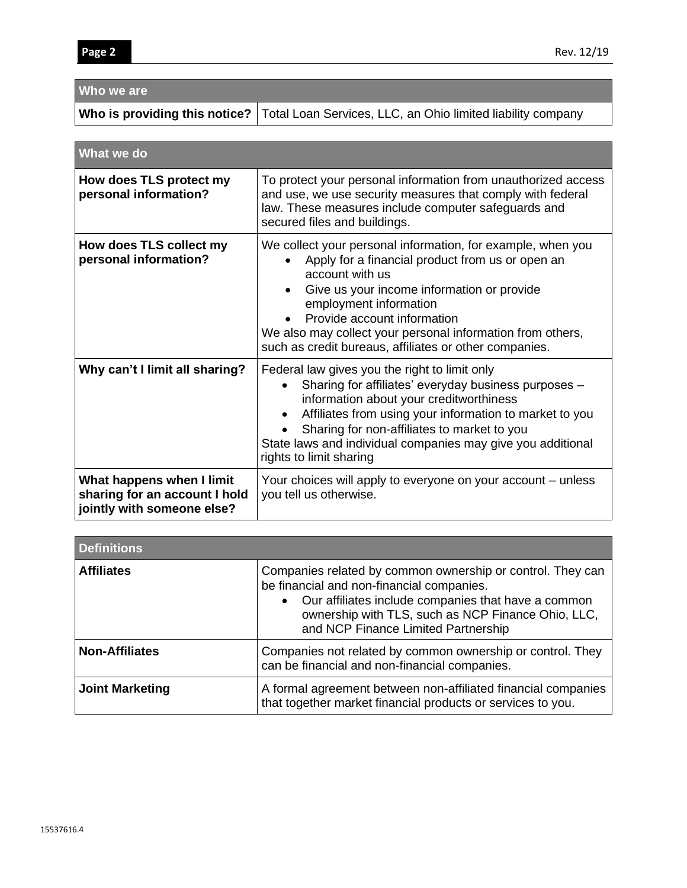**Who we are**

|                                                                                          | <b>Who is providing this notice?</b> Total Loan Services, LLC, an Ohio limited liability company                                                                                                                                                                                                                                                                  |  |  |
|------------------------------------------------------------------------------------------|-------------------------------------------------------------------------------------------------------------------------------------------------------------------------------------------------------------------------------------------------------------------------------------------------------------------------------------------------------------------|--|--|
|                                                                                          |                                                                                                                                                                                                                                                                                                                                                                   |  |  |
| What we do                                                                               |                                                                                                                                                                                                                                                                                                                                                                   |  |  |
| How does TLS protect my<br>personal information?                                         | To protect your personal information from unauthorized access<br>and use, we use security measures that comply with federal<br>law. These measures include computer safeguards and<br>secured files and buildings.                                                                                                                                                |  |  |
| How does TLS collect my<br>personal information?                                         | We collect your personal information, for example, when you<br>Apply for a financial product from us or open an<br>account with us<br>Give us your income information or provide<br>employment information<br>Provide account information<br>We also may collect your personal information from others,<br>such as credit bureaus, affiliates or other companies. |  |  |
| Why can't I limit all sharing?                                                           | Federal law gives you the right to limit only<br>Sharing for affiliates' everyday business purposes -<br>information about your creditworthiness<br>Affiliates from using your information to market to you<br>$\bullet$<br>Sharing for non-affiliates to market to you<br>State laws and individual companies may give you additional<br>rights to limit sharing |  |  |
| What happens when I limit<br>sharing for an account I hold<br>jointly with someone else? | Your choices will apply to everyone on your account – unless<br>you tell us otherwise.                                                                                                                                                                                                                                                                            |  |  |

| <b>Definitions</b>     |                                                                                                                                                                                                                                                               |  |
|------------------------|---------------------------------------------------------------------------------------------------------------------------------------------------------------------------------------------------------------------------------------------------------------|--|
| <b>Affiliates</b>      | Companies related by common ownership or control. They can<br>be financial and non-financial companies.<br>• Our affiliates include companies that have a common<br>ownership with TLS, such as NCP Finance Ohio, LLC,<br>and NCP Finance Limited Partnership |  |
| <b>Non-Affiliates</b>  | Companies not related by common ownership or control. They<br>can be financial and non-financial companies.                                                                                                                                                   |  |
| <b>Joint Marketing</b> | A formal agreement between non-affiliated financial companies<br>that together market financial products or services to you.                                                                                                                                  |  |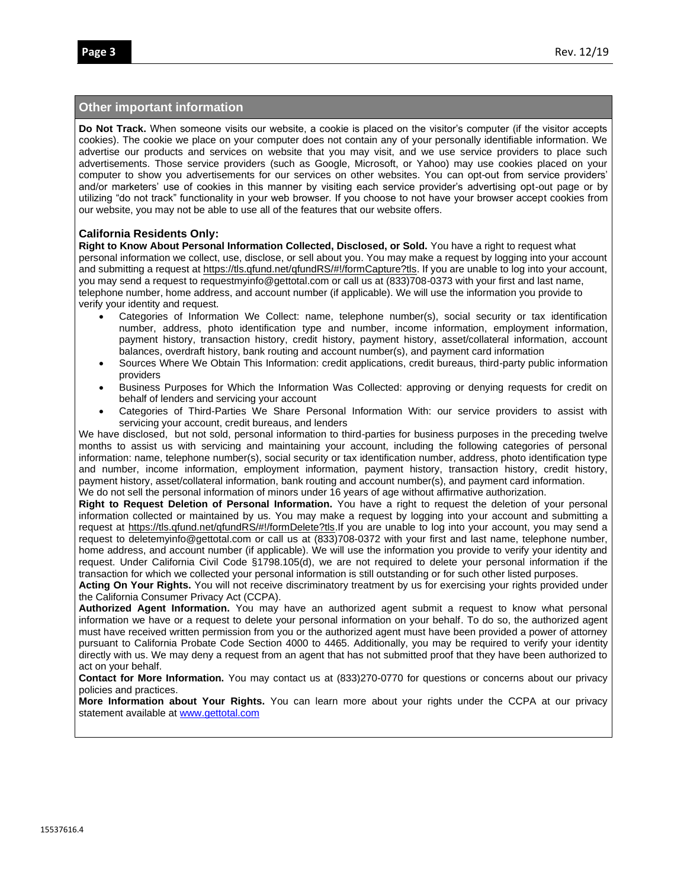## **Other important information**

**Do Not Track.** When someone visits our website, a cookie is placed on the visitor's computer (if the visitor accepts cookies). The cookie we place on your computer does not contain any of your personally identifiable information. We advertise our products and services on website that you may visit, and we use service providers to place such advertisements. Those service providers (such as Google, Microsoft, or Yahoo) may use cookies placed on your computer to show you advertisements for our services on other websites. You can opt-out from service providers' and/or marketers' use of cookies in this manner by visiting each service provider's advertising opt-out page or by utilizing "do not track" functionality in your web browser. If you choose to not have your browser accept cookies from our website, you may not be able to use all of the features that our website offers.

### **California Residents Only:**

**Right to Know About Personal Information Collected, Disclosed, or Sold.** You have a right to request what personal information we collect, use, disclose, or sell about you. You may make a request by logging into your account and submitting a request at [https://tls.qfund.net/qfundRS/#!/formCapture?tls.](https://tls.qfund.net/qfundRS/#!/formCapture?tls) If you are unable to log into your account, you may send a request to requestmyinfo@gettotal.com or call us at (833)708-0373 with your first and last name, telephone number, home address, and account number (if applicable). We will use the information you provide to verify your identity and request.

- Categories of Information We Collect: name, telephone number(s), social security or tax identification number, address, photo identification type and number, income information, employment information, payment history, transaction history, credit history, payment history, asset/collateral information, account balances, overdraft history, bank routing and account number(s), and payment card information
- Sources Where We Obtain This Information: credit applications, credit bureaus, third-party public information providers
- Business Purposes for Which the Information Was Collected: approving or denying requests for credit on behalf of lenders and servicing your account
- Categories of Third-Parties We Share Personal Information With: our service providers to assist with servicing your account, credit bureaus, and lenders

We have disclosed, but not sold, personal information to third-parties for business purposes in the preceding twelve months to assist us with servicing and maintaining your account, including the following categories of personal information: name, telephone number(s), social security or tax identification number, address, photo identification type and number, income information, employment information, payment history, transaction history, credit history, payment history, asset/collateral information, bank routing and account number(s), and payment card information. We do not sell the personal information of minors under 16 years of age without affirmative authorization.

**Right to Request Deletion of Personal Information.** You have a right to request the deletion of your personal information collected or maintained by us. You may make a request by logging into your account and submitting a request at [https://tls.qfund.net/qfundRS/#!/formDelete?tls.](https://tls.qfund.net/qfundRS/#!/formDelete?tls)If you are unable to log into your account, you may send a request to deletemyinfo@gettotal.com or call us at (833)708-0372 with your first and last name, telephone number, home address, and account number (if applicable). We will use the information you provide to verify your identity and request. Under California Civil Code §1798.105(d), we are not required to delete your personal information if the transaction for which we collected your personal information is still outstanding or for such other listed purposes.

**Acting On Your Rights.** You will not receive discriminatory treatment by us for exercising your rights provided under the California Consumer Privacy Act (CCPA).

**Authorized Agent Information.** You may have an authorized agent submit a request to know what personal information we have or a request to delete your personal information on your behalf. To do so, the authorized agent must have received written permission from you or the authorized agent must have been provided a power of attorney pursuant to California Probate Code Section 4000 to 4465. Additionally, you may be required to verify your identity directly with us. We may deny a request from an agent that has not submitted proof that they have been authorized to act on your behalf.

**Contact for More Information.** You may contact us at (833)270-0770 for questions or concerns about our privacy policies and practices.

**More Information about Your Rights.** You can learn more about your rights under the CCPA at our privacy statement available at [www.gettotal.com](http://www.gettotal.com/)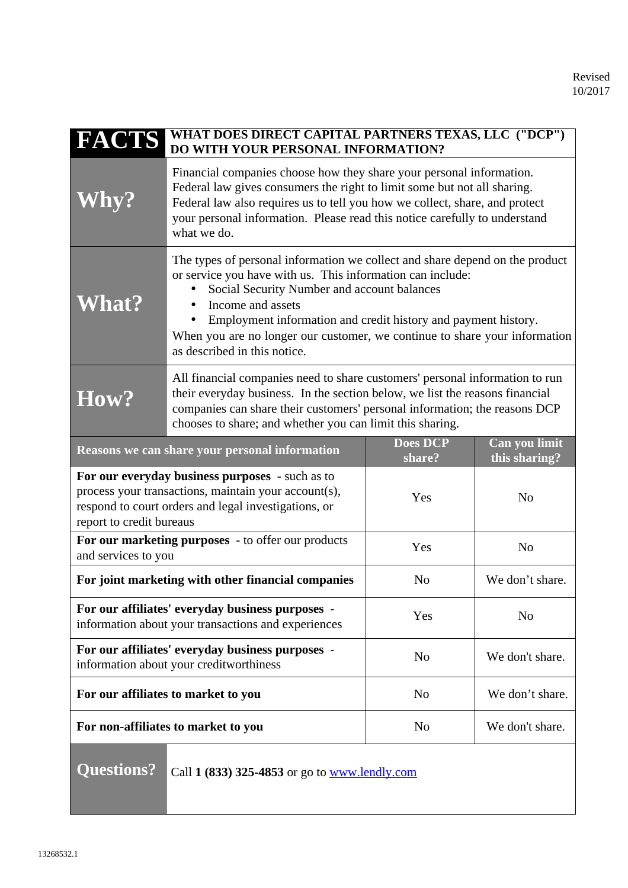| <b>FACTS</b>                                                                                                                                                                                                         | WHAT DOES DIRECT CAPITAL PARTNERS TEXAS, LLC ("DCP")<br>DO WITH YOUR PERSONAL INFORMATION?                                                                                                                                                                                                                                                                                                     |                |                 |
|----------------------------------------------------------------------------------------------------------------------------------------------------------------------------------------------------------------------|------------------------------------------------------------------------------------------------------------------------------------------------------------------------------------------------------------------------------------------------------------------------------------------------------------------------------------------------------------------------------------------------|----------------|-----------------|
| Vhy?                                                                                                                                                                                                                 | Financial companies choose how they share your personal information.<br>Federal law gives consumers the right to limit some but not all sharing.<br>Federal law also requires us to tell you how we collect, share, and protect<br>your personal information. Please read this notice carefully to understand<br>what we do.                                                                   |                |                 |
| <b>What?</b>                                                                                                                                                                                                         | The types of personal information we collect and share depend on the product<br>or service you have with us. This information can include:<br>Social Security Number and account balances<br>Income and assets<br>Employment information and credit history and payment history.<br>When you are no longer our customer, we continue to share your information<br>as described in this notice. |                |                 |
| How?                                                                                                                                                                                                                 | All financial companies need to share customers' personal information to run<br>their everyday business. In the section below, we list the reasons financial<br>companies can share their customers' personal information; the reasons DCP<br>chooses to share; and whether you can limit this sharing.                                                                                        |                |                 |
| Can you limit<br><b>Does DCP</b><br>Reasons we can share your personal information<br>this sharing?<br>share?                                                                                                        |                                                                                                                                                                                                                                                                                                                                                                                                |                |                 |
| For our everyday business purposes - such as to<br>process your transactions, maintain your account(s),<br>Yes<br>N <sub>o</sub><br>respond to court orders and legal investigations, or<br>report to credit bureaus |                                                                                                                                                                                                                                                                                                                                                                                                |                |                 |
| For our marketing purposes - to offer our products<br>and services to you                                                                                                                                            |                                                                                                                                                                                                                                                                                                                                                                                                | Yes            | N <sub>o</sub>  |
| For joint marketing with other financial companies                                                                                                                                                                   |                                                                                                                                                                                                                                                                                                                                                                                                | N <sub>o</sub> | We don't share. |
| For our affiliates' everyday business purposes -<br>information about your transactions and experiences                                                                                                              |                                                                                                                                                                                                                                                                                                                                                                                                | Yes            | N <sub>o</sub>  |
| For our affiliates' everyday business purposes -<br>information about your creditworthiness                                                                                                                          |                                                                                                                                                                                                                                                                                                                                                                                                | N <sub>0</sub> | We don't share. |
| For our affiliates to market to you                                                                                                                                                                                  |                                                                                                                                                                                                                                                                                                                                                                                                | N <sub>o</sub> | We don't share. |
| For non-affiliates to market to you                                                                                                                                                                                  |                                                                                                                                                                                                                                                                                                                                                                                                | N <sub>o</sub> | We don't share. |
| <b>Questions?</b><br>Call 1 (833) 325-4853 or go to www.lendly.com                                                                                                                                                   |                                                                                                                                                                                                                                                                                                                                                                                                |                |                 |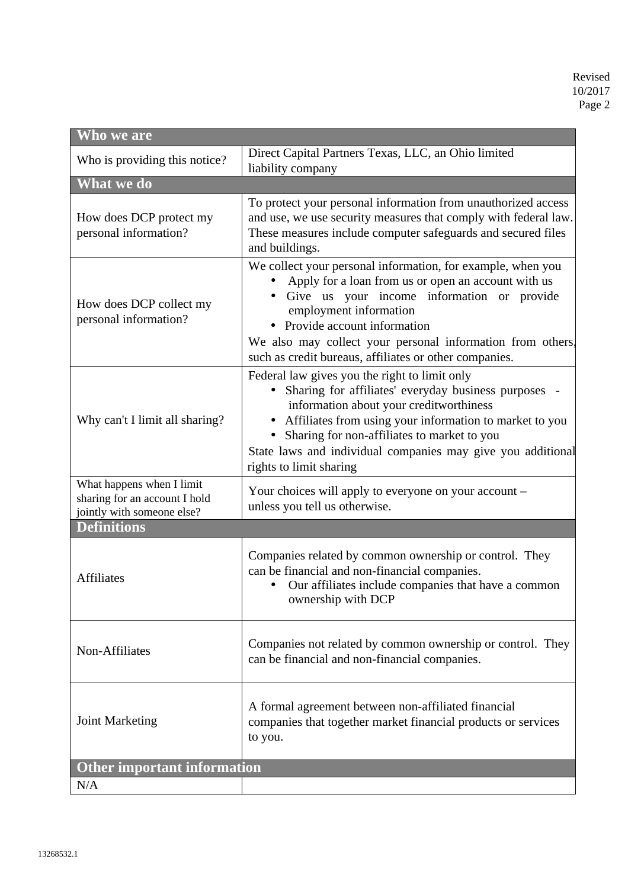| Who we are                                                                               |                                                                                                                                                                                                                                                                                                                                                    |  |  |
|------------------------------------------------------------------------------------------|----------------------------------------------------------------------------------------------------------------------------------------------------------------------------------------------------------------------------------------------------------------------------------------------------------------------------------------------------|--|--|
| Who is providing this notice?                                                            | Direct Capital Partners Texas, LLC, an Ohio limited<br>liability company                                                                                                                                                                                                                                                                           |  |  |
| What we do                                                                               |                                                                                                                                                                                                                                                                                                                                                    |  |  |
| How does DCP protect my<br>personal information?                                         | To protect your personal information from unauthorized access<br>and use, we use security measures that comply with federal law.<br>These measures include computer safeguards and secured files<br>and buildings.                                                                                                                                 |  |  |
| How does DCP collect my<br>personal information?                                         | We collect your personal information, for example, when you<br>Apply for a loan from us or open an account with us<br>Give us your income information or provide<br>employment information<br>Provide account information<br>We also may collect your personal information from others,<br>such as credit bureaus, affiliates or other companies.  |  |  |
| Why can't I limit all sharing?                                                           | Federal law gives you the right to limit only<br>Sharing for affiliates' everyday business purposes<br>information about your creditworthiness<br>Affiliates from using your information to market to you<br>Sharing for non-affiliates to market to you<br>State laws and individual companies may give you additional<br>rights to limit sharing |  |  |
| What happens when I limit<br>sharing for an account I hold<br>jointly with someone else? | Your choices will apply to everyone on your account -<br>unless you tell us otherwise.                                                                                                                                                                                                                                                             |  |  |
| <b>Definitions</b>                                                                       |                                                                                                                                                                                                                                                                                                                                                    |  |  |
| <b>Affiliates</b>                                                                        | Companies related by common ownership or control. They<br>can be financial and non-financial companies.<br>Our affiliates include companies that have a common<br>ownership with DCP                                                                                                                                                               |  |  |
| Non-Affiliates                                                                           | Companies not related by common ownership or control. They<br>can be financial and non-financial companies.                                                                                                                                                                                                                                        |  |  |
| <b>Joint Marketing</b>                                                                   | A formal agreement between non-affiliated financial<br>companies that together market financial products or services<br>to you.                                                                                                                                                                                                                    |  |  |
| <b>Other important information</b>                                                       |                                                                                                                                                                                                                                                                                                                                                    |  |  |
| N/A                                                                                      |                                                                                                                                                                                                                                                                                                                                                    |  |  |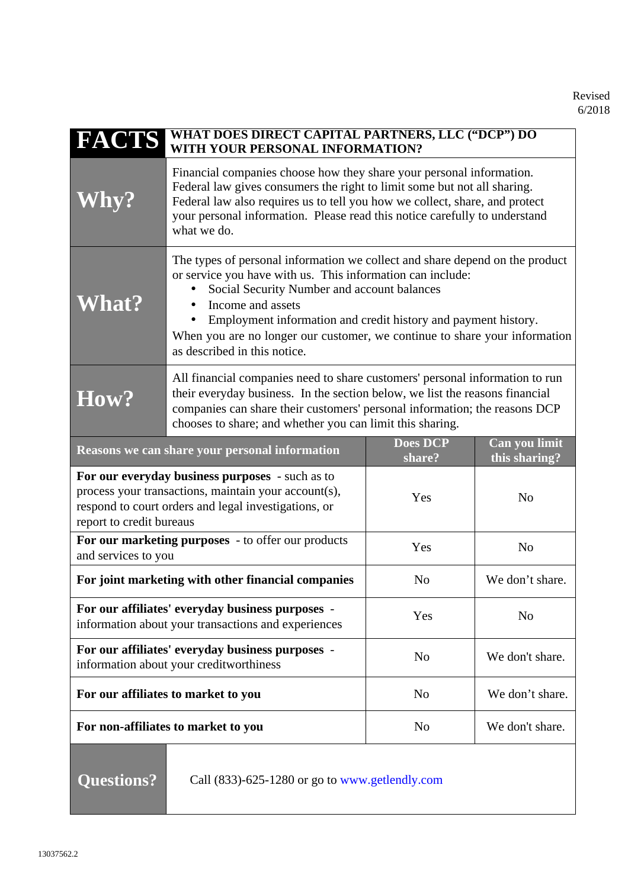| <b>FACTS</b>                                                                                                                                                                                | <b>WHAT DOES DIRECT CAPITAL PARTNERS, LLC ("DCP") DO</b><br>WITH YOUR PERSONAL INFORMATION?                                                                                                                                                                                                                                                                                                    |                           |                                |
|---------------------------------------------------------------------------------------------------------------------------------------------------------------------------------------------|------------------------------------------------------------------------------------------------------------------------------------------------------------------------------------------------------------------------------------------------------------------------------------------------------------------------------------------------------------------------------------------------|---------------------------|--------------------------------|
| <b>Why?</b>                                                                                                                                                                                 | Financial companies choose how they share your personal information.<br>Federal law gives consumers the right to limit some but not all sharing.<br>Federal law also requires us to tell you how we collect, share, and protect<br>your personal information. Please read this notice carefully to understand<br>what we do.                                                                   |                           |                                |
| <b>What?</b>                                                                                                                                                                                | The types of personal information we collect and share depend on the product<br>or service you have with us. This information can include:<br>Social Security Number and account balances<br>Income and assets<br>Employment information and credit history and payment history.<br>When you are no longer our customer, we continue to share your information<br>as described in this notice. |                           |                                |
| How?                                                                                                                                                                                        | All financial companies need to share customers' personal information to run<br>their everyday business. In the section below, we list the reasons financial<br>companies can share their customers' personal information; the reasons DCP<br>chooses to share; and whether you can limit this sharing.                                                                                        |                           |                                |
|                                                                                                                                                                                             | <b>Reasons we can share your personal information</b>                                                                                                                                                                                                                                                                                                                                          | <b>Does DCP</b><br>share? | Can you limit<br>this sharing? |
| For our everyday business purposes - such as to<br>process your transactions, maintain your account(s),<br>respond to court orders and legal investigations, or<br>report to credit bureaus |                                                                                                                                                                                                                                                                                                                                                                                                | Yes                       | N <sub>o</sub>                 |
| For our marketing purposes - to offer our products<br>and services to you                                                                                                                   |                                                                                                                                                                                                                                                                                                                                                                                                | Yes                       | N <sub>o</sub>                 |
| For joint marketing with other financial companies                                                                                                                                          |                                                                                                                                                                                                                                                                                                                                                                                                | N <sub>o</sub>            | We don't share.                |
| For our affiliates' everyday business purposes -<br>information about your transactions and experiences                                                                                     |                                                                                                                                                                                                                                                                                                                                                                                                | Yes                       | N <sub>o</sub>                 |
| For our affiliates' everyday business purposes -<br>information about your creditworthiness                                                                                                 |                                                                                                                                                                                                                                                                                                                                                                                                | N <sub>o</sub>            | We don't share.                |
| For our affiliates to market to you                                                                                                                                                         |                                                                                                                                                                                                                                                                                                                                                                                                | N <sub>o</sub>            | We don't share.                |
| For non-affiliates to market to you                                                                                                                                                         |                                                                                                                                                                                                                                                                                                                                                                                                | N <sub>o</sub>            | We don't share.                |
| <b>Questions?</b><br>Call (833)-625-1280 or go to www.getlendly.com                                                                                                                         |                                                                                                                                                                                                                                                                                                                                                                                                |                           |                                |